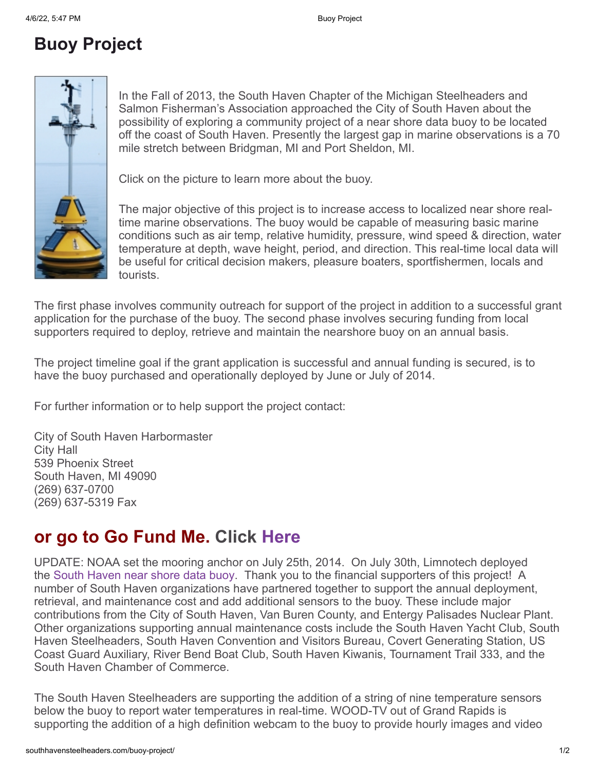## **Buoy Project**



In the Fall of 2013, the South Haven Chapter of the Michigan Steelheaders and Salmon Fisherman's Association approached the City of South Haven about the possibility of exploring a community project of a near shore data buoy to be located off the coast of South Haven. Presently the largest gap in marine observations is a 70 mile stretch between Bridgman, MI and Port Sheldon, MI.

Click on the picture to learn more about the buoy.

The major objective of this project is to increase access to localized near shore realtime marine observations. The buoy would be capable of measuring basic marine conditions such as air temp, relative humidity, pressure, wind speed & direction, water temperature at depth, wave height, period, and direction. This real-time local data will be useful for critical decision makers, pleasure boaters, sportfishermen, locals and tourists.

The first phase involves community outreach for support of the project in addition to a successful grant application for the purchase of the buoy. The second phase involves securing funding from local supporters required to deploy, retrieve and maintain the nearshore buoy on an annual basis.

The project timeline goal if the grant application is successful and annual funding is secured, is to have the buoy purchased and operationally deployed by June or July of 2014.

For further information or to help support the project contact:

City of South Haven Harbormaster City Hall 539 Phoenix Street South Haven, MI 49090 (269) 637-0700 (269) 637-5319 Fax

## **or go to Go Fund Me. Click [Here](https://www.gofundme.com/shbuoy19)**

UPDATE: NOAA set the mooring anchor on July 25th, 2014. On July 30th, Limnotech deployed the [South Haven near shore data buoy](http://bit.ly/shbuoylink). Thank you to the financial supporters of this project! A number of South Haven organizations have partnered together to support the annual deployment, retrieval, and maintenance cost and add additional sensors to the buoy. These include major contributions from the City of South Haven, Van Buren County, and Entergy Palisades Nuclear Plant. Other organizations supporting annual maintenance costs include the South Haven Yacht Club, South Haven Steelheaders, South Haven Convention and Visitors Bureau, Covert Generating Station, US Coast Guard Auxiliary, River Bend Boat Club, South Haven Kiwanis, Tournament Trail 333, and the South Haven Chamber of Commerce.

The South Haven Steelheaders are supporting the addition of a string of nine temperature sensors below the buoy to report water temperatures in real-time. WOOD-TV out of Grand Rapids is supporting the addition of a high definition webcam to the buoy to provide hourly images and video